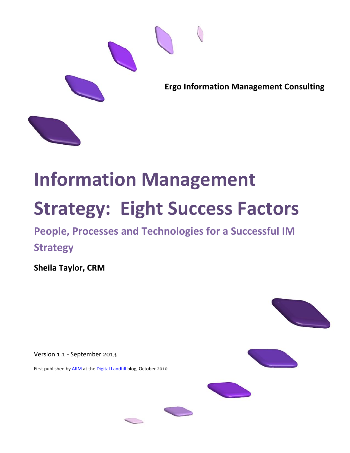

# **Information Management Strategy: Eight Success Factors**

**People, Processes and Technologies for a Successful IM Strategy**

**Sheila Taylor, CRM**

Version 1.1 - September 2013

First published by [AIIM](http://www.aiim.org/) at the [Digital Landfill](http://aiim.typepad.com/aiim_blog/2010/10/8-information-management-strategy-factors.html) blog, October 2010







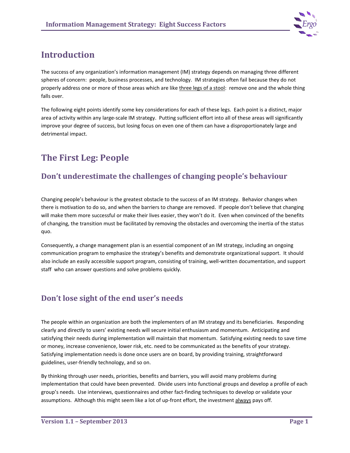

# **Introduction**

The success of any organization's information management (IM) strategy depends on managing three different spheres of concern: people, business processes, and technology. IM strategies often fail because they do not properly address one or more of those areas which are like three legs of a stool: remove one and the whole thing falls over.

The following eight points identify some key considerations for each of these legs. Each point is a distinct, major area of activity within any large-scale IM strategy. Putting sufficient effort into all of these areas will significantly improve your degree of success, but losing focus on even one of them can have a disproportionately large and detrimental impact.

# **The First Leg: People**

## **Don't underestimate the challenges of changing people's behaviour**

Changing people's behaviour is the greatest obstacle to the success of an IM strategy. Behavior changes when there is motivation to do so, and when the barriers to change are removed. If people don't believe that changing will make them more successful or make their lives easier, they won't do it. Even when convinced of the benefits of changing, the transition must be facilitated by removing the obstacles and overcoming the inertia of the status quo.

Consequently, a change management plan is an essential component of an IM strategy, including an ongoing communication program to emphasize the strategy's benefits and demonstrate organizational support. It should also include an easily accessible support program, consisting of training, well-written documentation, and support staff who can answer questions and solve problems quickly.

## **Don't lose sight of the end user's needs**

The people within an organization are both the implementers of an IM strategy and its beneficiaries. Responding clearly and directly to users' existing needs will secure initial enthusiasm and momentum. Anticipating and satisfying their needs during implementation will maintain that momentum. Satisfying existing needs to save time or money, increase convenience, lower risk, etc. need to be communicated as the benefits of your strategy. Satisfying implementation needs is done once users are on board, by providing training, straightforward guidelines, user-friendly technology, and so on.

By thinking through user needs, priorities, benefits and barriers, you will avoid many problems during implementation that could have been prevented. Divide users into functional groups and develop a profile of each group's needs. Use interviews, questionnaires and other fact-finding techniques to develop or validate your assumptions. Although this might seem like a lot of up-front effort, the investment always pays off.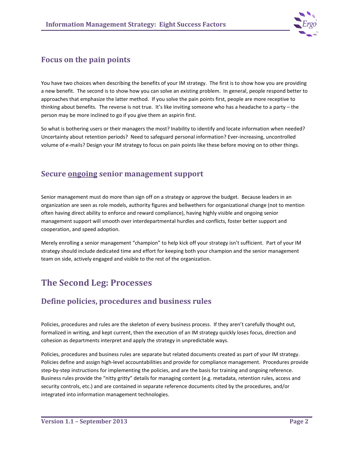

#### **Focus on the pain points**

You have two choices when describing the benefits of your IM strategy. The first is to show how you are providing a new benefit. The second is to show how you can solve an existing problem. In general, people respond better to approaches that emphasize the latter method. If you solve the pain points first, people are more receptive to thinking about benefits. The reverse is not true. It's like inviting someone who has a headache to a party – the person may be more inclined to go if you give them an aspirin first.

So what is bothering users or their managers the most? Inability to identify and locate information when needed? Uncertainty about retention periods? Need to safeguard personal information? Ever-increasing, uncontrolled volume of e-mails? Design your IM strategy to focus on pain points like these before moving on to other things.

#### **Secure ongoing senior management support**

Senior management must do more than sign off on a strategy or approve the budget. Because leaders in an organization are seen as role models, authority figures and bellwethers for organizational change (not to mention often having direct ability to enforce and reward compliance), having highly visible and ongoing senior management support will smooth over interdepartmental hurdles and conflicts, foster better support and cooperation, and speed adoption.

Merely enrolling a senior management "champion" to help kick off your strategy isn't sufficient. Part of your IM strategy should include dedicated time and effort for keeping both your champion and the senior management team on side, actively engaged and visible to the rest of the organization.

## **The Second Leg: Processes**

#### **Define policies, procedures and business rules**

Policies, procedures and rules are the skeleton of every business process. If they aren't carefully thought out, formalized in writing, and kept current, then the execution of an IM strategy quickly loses focus, direction and cohesion as departments interpret and apply the strategy in unpredictable ways.

Policies, procedures and business rules are separate but related documents created as part of your IM strategy. Policies define and assign high-level accountabilities and provide for compliance management. Procedures provide step-by-step instructions for implementing the policies, and are the basis for training and ongoing reference. Business rules provide the "nitty gritty" details for managing content (e.g. metadata, retention rules, access and security controls, etc.) and are contained in separate reference documents cited by the procedures, and/or integrated into information management technologies.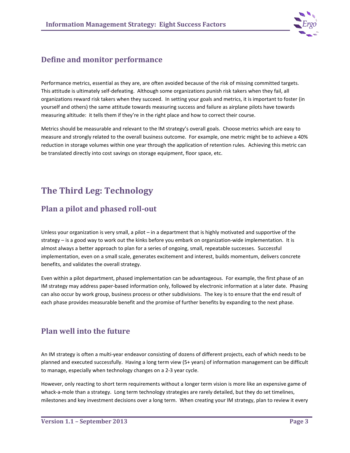

#### **Define and monitor performance**

Performance metrics, essential as they are, are often avoided because of the risk of missing committed targets. This attitude is ultimately self-defeating. Although some organizations punish risk takers when they fail, all organizations reward risk takers when they succeed. In setting your goals and metrics, it is important to foster (in yourself and others) the same attitude towards measuring success and failure as airplane pilots have towards measuring altitude: it tells them if they're in the right place and how to correct their course.

Metrics should be measurable and relevant to the IM strategy's overall goals. Choose metrics which are easy to measure and strongly related to the overall business outcome. For example, one metric might be to achieve a 40% reduction in storage volumes within one year through the application of retention rules. Achieving this metric can be translated directly into cost savings on storage equipment, floor space, etc.

## **The Third Leg: Technology**

## **Plan a pilot and phased roll-out**

Unless your organization is very small, a pilot – in a department that is highly motivated and supportive of the strategy – is a good way to work out the kinks before you embark on organization-wide implementation. It is almost always a better approach to plan for a series of ongoing, small, repeatable successes. Successful implementation, even on a small scale, generates excitement and interest, builds momentum, delivers concrete benefits, and validates the overall strategy.

Even within a pilot department, phased implementation can be advantageous. For example, the first phase of an IM strategy may address paper-based information only, followed by electronic information at a later date. Phasing can also occur by work group, business process or other subdivisions. The key is to ensure that the end result of each phase provides measurable benefit and the promise of further benefits by expanding to the next phase.

## **Plan well into the future**

An IM strategy is often a multi-year endeavor consisting of dozens of different projects, each of which needs to be planned and executed successfully. Having a long term view (5+ years) of information management can be difficult to manage, especially when technology changes on a 2-3 year cycle.

However, only reacting to short term requirements without a longer term vision is more like an expensive game of whack-a-mole than a strategy. Long term technology strategies are rarely detailed, but they do set timelines, milestones and key investment decisions over a long term. When creating your IM strategy, plan to review it every